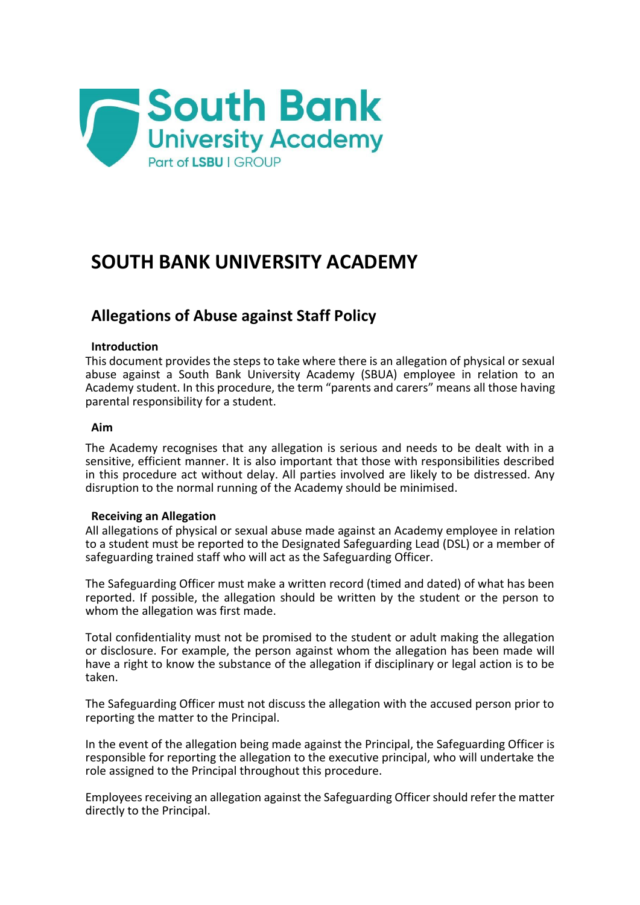

# **SOUTH BANK UNIVERSITY ACADEMY**

# **Allegations of Abuse against Staff Policy**

# **Introduction**

This document provides the steps to take where there is an allegation of physical or sexual abuse against a South Bank University Academy (SBUA) employee in relation to an Academy student. In this procedure, the term "parents and carers" means all those having parental responsibility for a student.

# **Aim**

The Academy recognises that any allegation is serious and needs to be dealt with in a sensitive, efficient manner. It is also important that those with responsibilities described in this procedure act without delay. All parties involved are likely to be distressed. Any disruption to the normal running of the Academy should be minimised.

#### **Receiving an Allegation**

All allegations of physical or sexual abuse made against an Academy employee in relation to a student must be reported to the Designated Safeguarding Lead (DSL) or a member of safeguarding trained staff who will act as the Safeguarding Officer.

The Safeguarding Officer must make a written record (timed and dated) of what has been reported. If possible, the allegation should be written by the student or the person to whom the allegation was first made.

Total confidentiality must not be promised to the student or adult making the allegation or disclosure. For example, the person against whom the allegation has been made will have a right to know the substance of the allegation if disciplinary or legal action is to be taken.

The Safeguarding Officer must not discuss the allegation with the accused person prior to reporting the matter to the Principal.

In the event of the allegation being made against the Principal, the Safeguarding Officer is responsible for reporting the allegation to the executive principal, who will undertake the role assigned to the Principal throughout this procedure.

Employees receiving an allegation against the Safeguarding Officer should refer the matter directly to the Principal.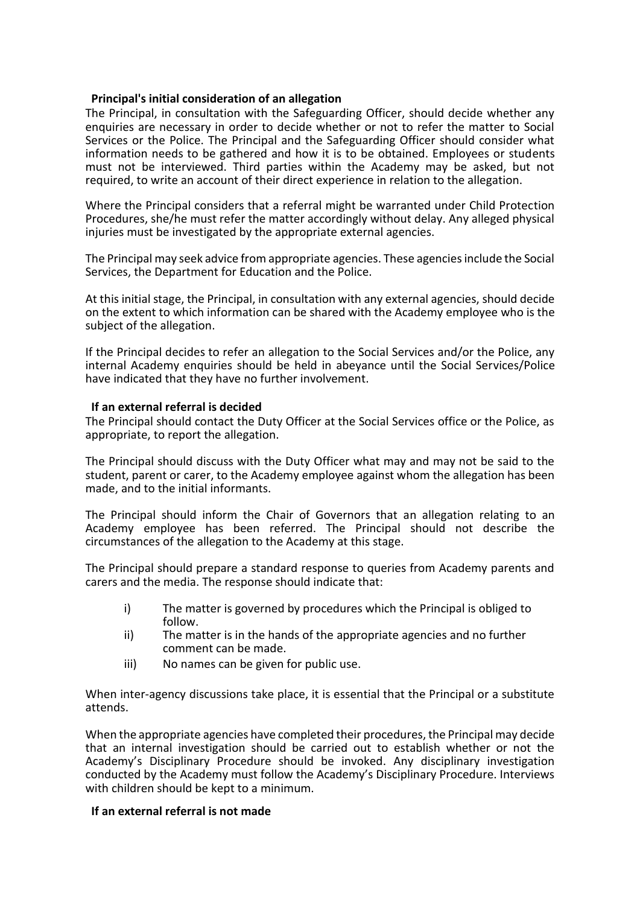# **Principal's initial consideration of an allegation**

The Principal, in consultation with the Safeguarding Officer, should decide whether any enquiries are necessary in order to decide whether or not to refer the matter to Social Services or the Police. The Principal and the Safeguarding Officer should consider what information needs to be gathered and how it is to be obtained. Employees or students must not be interviewed. Third parties within the Academy may be asked, but not required, to write an account of their direct experience in relation to the allegation.

Where the Principal considers that a referral might be warranted under Child Protection Procedures, she/he must refer the matter accordingly without delay. Any alleged physical injuries must be investigated by the appropriate external agencies.

The Principal may seek advice from appropriate agencies. These agencies include the Social Services, the Department for Education and the Police.

At this initial stage, the Principal, in consultation with any external agencies, should decide on the extent to which information can be shared with the Academy employee who is the subject of the allegation.

If the Principal decides to refer an allegation to the Social Services and/or the Police, any internal Academy enquiries should be held in abeyance until the Social Services/Police have indicated that they have no further involvement.

# **If an external referral is decided**

The Principal should contact the Duty Officer at the Social Services office or the Police, as appropriate, to report the allegation.

The Principal should discuss with the Duty Officer what may and may not be said to the student, parent or carer, to the Academy employee against whom the allegation has been made, and to the initial informants.

The Principal should inform the Chair of Governors that an allegation relating to an Academy employee has been referred. The Principal should not describe the circumstances of the allegation to the Academy at this stage.

The Principal should prepare a standard response to queries from Academy parents and carers and the media. The response should indicate that:

- i) The matter is governed by procedures which the Principal is obliged to follow.
- ii) The matter is in the hands of the appropriate agencies and no further comment can be made.
- iii) No names can be given for public use.

When inter-agency discussions take place, it is essential that the Principal or a substitute attends.

When the appropriate agencies have completed their procedures, the Principal may decide that an internal investigation should be carried out to establish whether or not the Academy's Disciplinary Procedure should be invoked. Any disciplinary investigation conducted by the Academy must follow the Academy's Disciplinary Procedure. Interviews with children should be kept to a minimum.

#### **If an external referral is not made**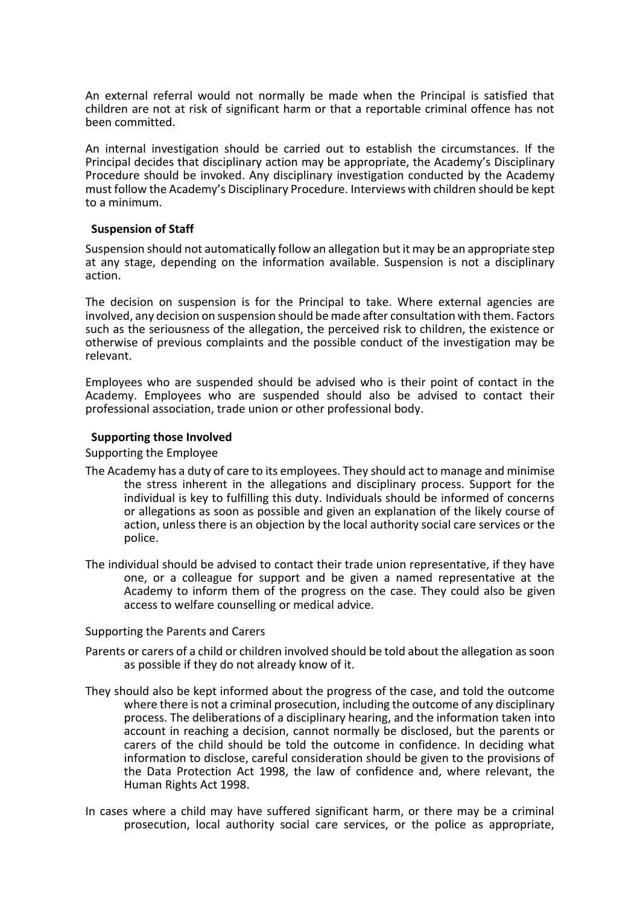An external referral would not normally be made when the Principal is satisfied that children are not at risk of significant harm or that a reportable criminal offence has not been committed.

An internal investigation should be carried out to establish the circumstances. If the Principal decides that disciplinary action may be appropriate, the Academy's Disciplinary Procedure should be invoked. Any disciplinary investigation conducted by the Academy must follow the Academy's Disciplinary Procedure. Interviews with children should be kept to a minimum.

#### **Suspension of Staff**

Suspension should not automatically follow an allegation but it may be an appropriate step at any stage, depending on the information available. Suspension is not a disciplinary action.

The decision on suspension is for the Principal to take. Where external agencies are involved, any decision on suspension should be made after consultation with them. Factors such as the seriousness of the allegation, the perceived risk to children, the existence or otherwise of previous complaints and the possible conduct of the investigation may be relevant.

Employees who are suspended should be advised who is their point of contact in the Academy. Employees who are suspended should also be advised to contact their professional association, trade union or other professional body.

#### **Supporting those Involved**

Supporting the Employee

- The Academy has a duty of care to its employees. They should act to manage and minimise the stress inherent in the allegations and disciplinary process. Support for the individual is key to fulfilling this duty. Individuals should be informed of concerns or allegations as soon as possible and given an explanation of the likely course of action, unless there is an objection by the local authority social care services or the police.
- The individual should be advised to contact their trade union representative, if they have one, or a colleague for support and be given a named representative at the Academy to inform them of the progress on the case. They could also be given access to welfare counselling or medical advice.

#### Supporting the Parents and Carers

- Parents or carers of a child or children involved should be told about the allegation as soon as possible if they do not already know of it.
- They should also be kept informed about the progress of the case, and told the outcome where there is not a criminal prosecution, including the outcome of any disciplinary process. The deliberations of a disciplinary hearing, and the information taken into account in reaching a decision, cannot normally be disclosed, but the parents or carers of the child should be told the outcome in confidence. In deciding what information to disclose, careful consideration should be given to the provisions of the Data Protection Act 1998, the law of confidence and, where relevant, the Human Rights Act 1998.
- In cases where a child may have suffered significant harm, or there may be a criminal prosecution, local authority social care services, or the police as appropriate,